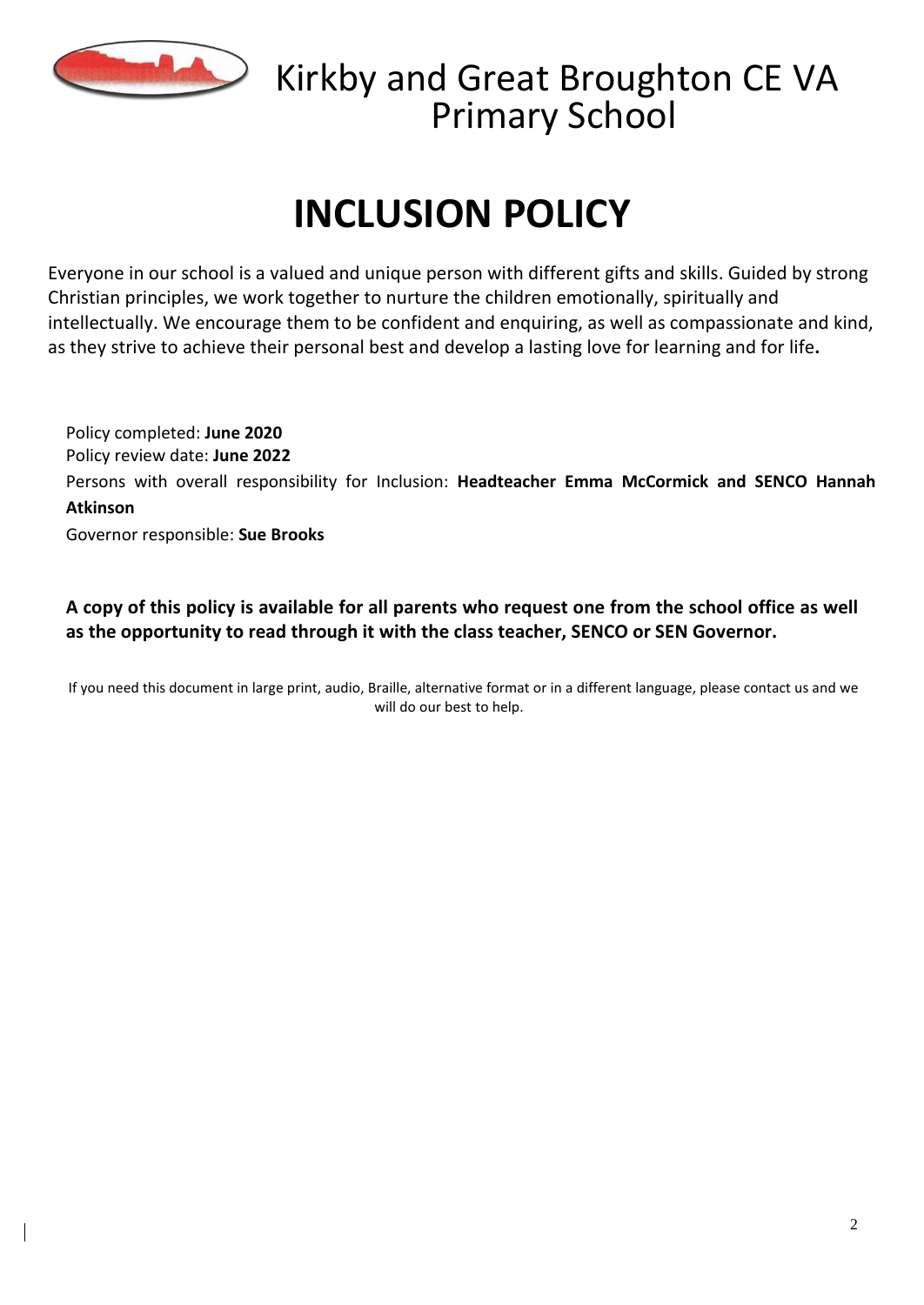

### Kirkby and Great Broughton CE VA Primary School

# **INCLUSION POLICY**

Everyone in our school is a valued and unique person with different gifts and skills. Guided by strong Christian principles, we work together to nurture the children emotionally, spiritually and intellectually. We encourage them to be confident and enquiring, as well as compassionate and kind, as they strive to achieve their personal best and develop a lasting love for learning and for life**.**

Policy completed: **June 2020** Policy review date: **June 2022** Persons with overall responsibility for Inclusion: **Headteacher Emma McCormick and SENCO Hannah Atkinson** Governor responsible: **Sue Brooks**

A copy of this policy is available for all parents who request one from the school office as well **as the opportunity to read through it with the class teacher, SENCO or SEN Governor.**

If you need this document in large print, audio, Braille, alternative format or in a different language, please contact us and we will do our best to help.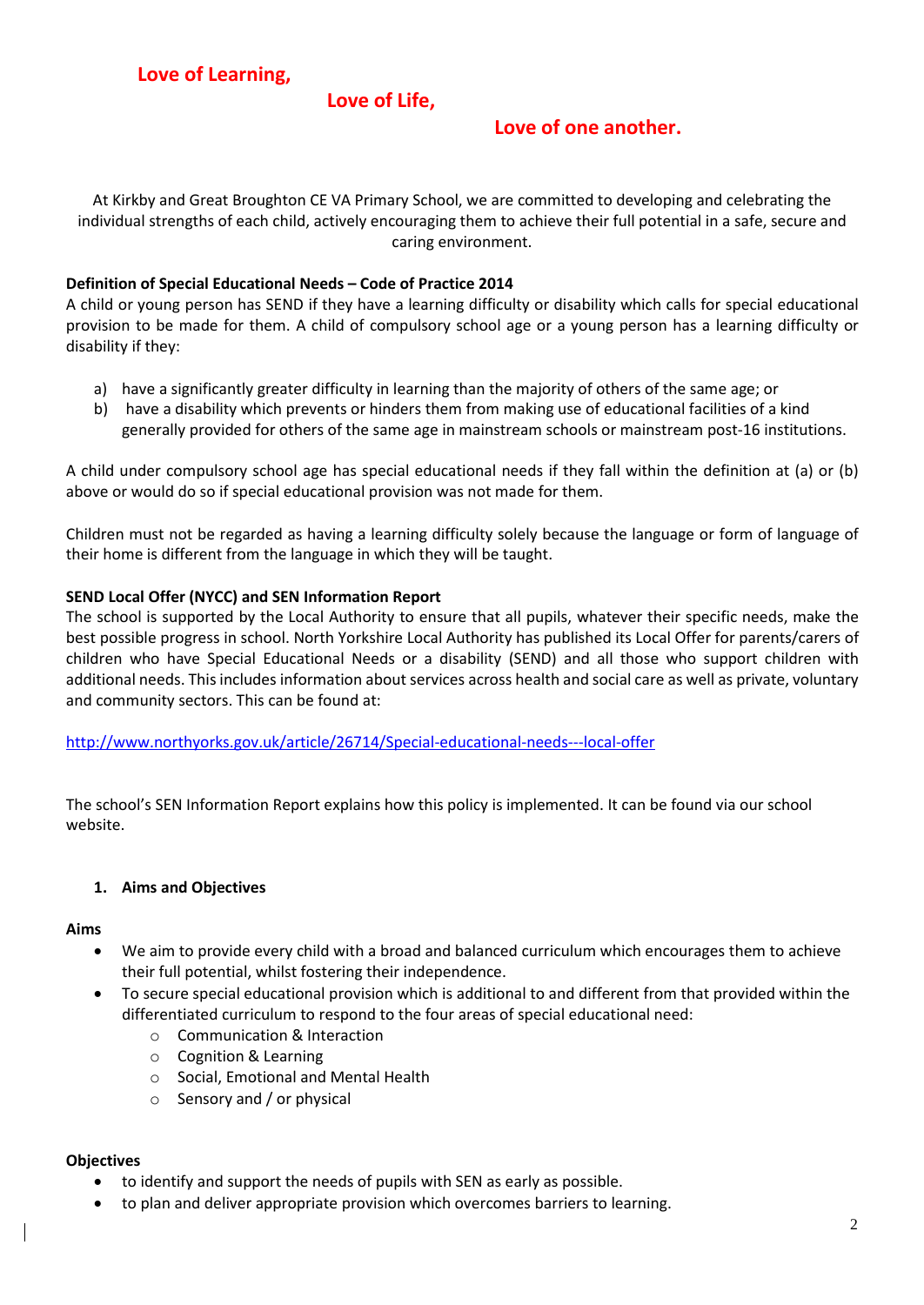#### **Love of Life,**

#### **Love of one another.**

At Kirkby and Great Broughton CE VA Primary School, we are committed to developing and celebrating the individual strengths of each child, actively encouraging them to achieve their full potential in a safe, secure and caring environment.

#### **Definition of Special Educational Needs – Code of Practice 2014**

A child or young person has SEND if they have a learning difficulty or disability which calls for special educational provision to be made for them. A child of compulsory school age or a young person has a learning difficulty or disability if they:

- a) have a significantly greater difficulty in learning than the majority of others of the same age; or
- b) have a disability which prevents or hinders them from making use of educational facilities of a kind generally provided for others of the same age in mainstream schools or mainstream post-16 institutions.

A child under compulsory school age has special educational needs if they fall within the definition at (a) or (b) above or would do so if special educational provision was not made for them.

Children must not be regarded as having a learning difficulty solely because the language or form of language of their home is different from the language in which they will be taught.

#### **SEND Local Offer (NYCC) and SEN Information Report**

The school is supported by the Local Authority to ensure that all pupils, whatever their specific needs, make the best possible progress in school. North Yorkshire Local Authority has published its Local Offer for parents/carers of children who have Special Educational Needs or a disability (SEND) and all those who support children with additional needs. Thisincludes information about services across health and social care as well as private, voluntary and community sectors. This can be found at:

[http://www.northyorks.gov.uk/article/26714/Special-educational-needs---local-offer](about:blank)

The school's SEN Information Report explains how this policy is implemented. It can be found via our school website.

#### **1. Aims and Objectives**

#### **Aims**

- We aim to provide every child with a broad and balanced curriculum which encourages them to achieve their full potential, whilst fostering their independence.
- To secure special educational provision which is additional to and different from that provided within the differentiated curriculum to respond to the four areas of special educational need:
	- o Communication & Interaction
	- o Cognition & Learning
	- o Social, Emotional and Mental Health
	- o Sensory and / or physical

#### **Objectives**

- to identify and support the needs of pupils with SEN as early as possible.
- to plan and deliver appropriate provision which overcomes barriers to learning.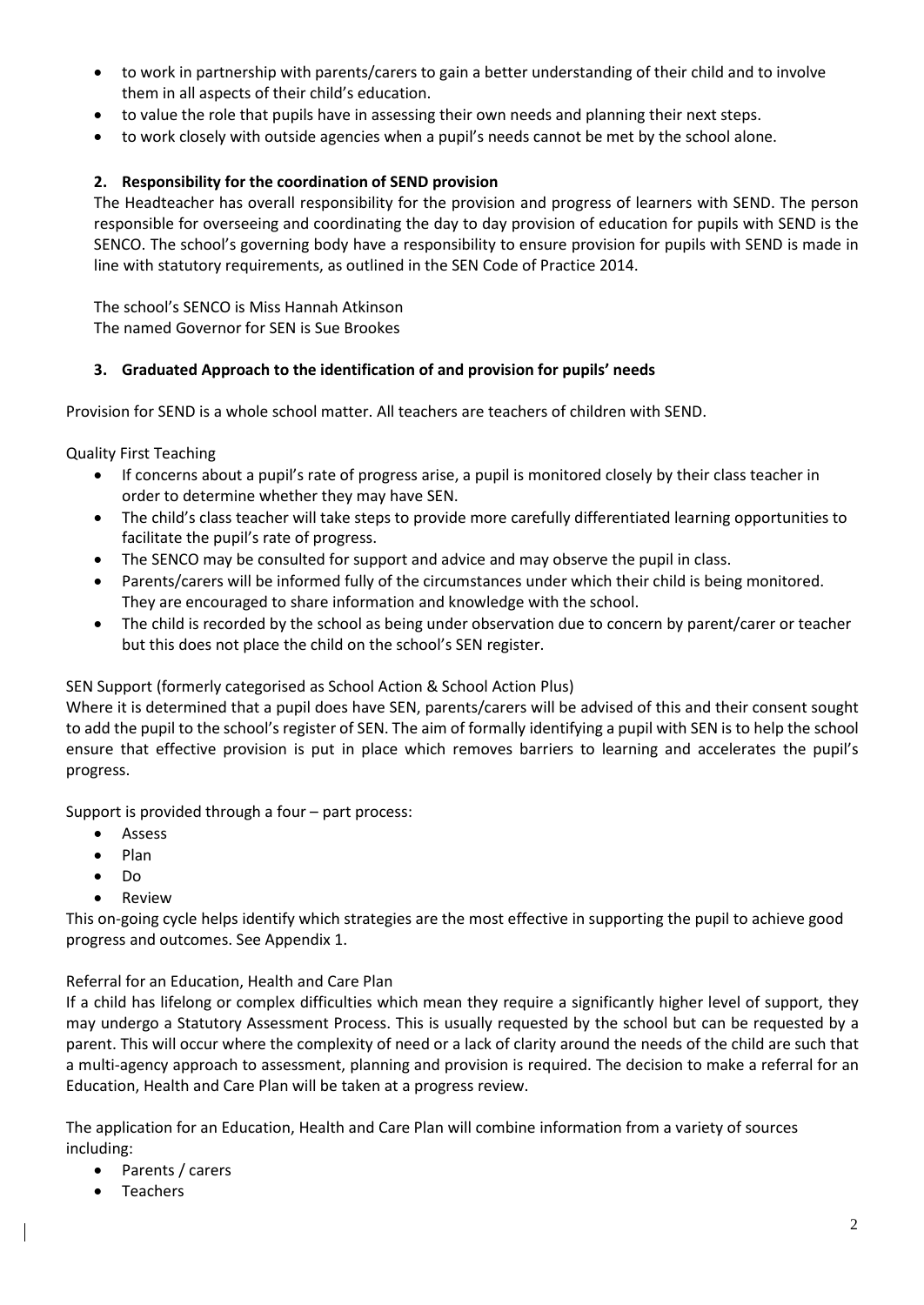- to work in partnership with parents/carers to gain a better understanding of their child and to involve them in all aspects of their child's education.
- to value the role that pupils have in assessing their own needs and planning their next steps.
- to work closely with outside agencies when a pupil's needs cannot be met by the school alone.

#### **2. Responsibility for the coordination of SEND provision**

The Headteacher has overall responsibility for the provision and progress of learners with SEND. The person responsible for overseeing and coordinating the day to day provision of education for pupils with SEND is the SENCO. The school's governing body have a responsibility to ensure provision for pupils with SEND is made in line with statutory requirements, as outlined in the SEN Code of Practice 2014.

The school's SENCO is Miss Hannah Atkinson The named Governor for SEN is Sue Brookes

#### **3. Graduated Approach to the identification of and provision for pupils' needs**

Provision for SEND is a whole school matter. All teachers are teachers of children with SEND.

Quality First Teaching

- If concerns about a pupil's rate of progress arise, a pupil is monitored closely by their class teacher in order to determine whether they may have SEN.
- The child's class teacher will take steps to provide more carefully differentiated learning opportunities to facilitate the pupil's rate of progress.
- The SENCO may be consulted for support and advice and may observe the pupil in class.
- Parents/carers will be informed fully of the circumstances under which their child is being monitored. They are encouraged to share information and knowledge with the school.
- The child is recorded by the school as being under observation due to concern by parent/carer or teacher but this does not place the child on the school's SEN register.

#### SEN Support (formerly categorised as School Action & School Action Plus)

Where it is determined that a pupil does have SEN, parents/carers will be advised of this and their consent sought to add the pupil to the school's register of SEN. The aim of formally identifying a pupil with SEN is to help the school ensure that effective provision is put in place which removes barriers to learning and accelerates the pupil's progress.

Support is provided through a four – part process:

- Assess
- Plan
- Do
- **Review**

This on-going cycle helps identify which strategies are the most effective in supporting the pupil to achieve good progress and outcomes. See Appendix 1.

#### Referral for an Education, Health and Care Plan

If a child has lifelong or complex difficulties which mean they require a significantly higher level of support, they may undergo a Statutory Assessment Process. This is usually requested by the school but can be requested by a parent. This will occur where the complexity of need or a lack of clarity around the needs of the child are such that a multi-agency approach to assessment, planning and provision is required. The decision to make a referral for an Education, Health and Care Plan will be taken at a progress review.

The application for an Education, Health and Care Plan will combine information from a variety of sources including:

- Parents / carers
- **Teachers**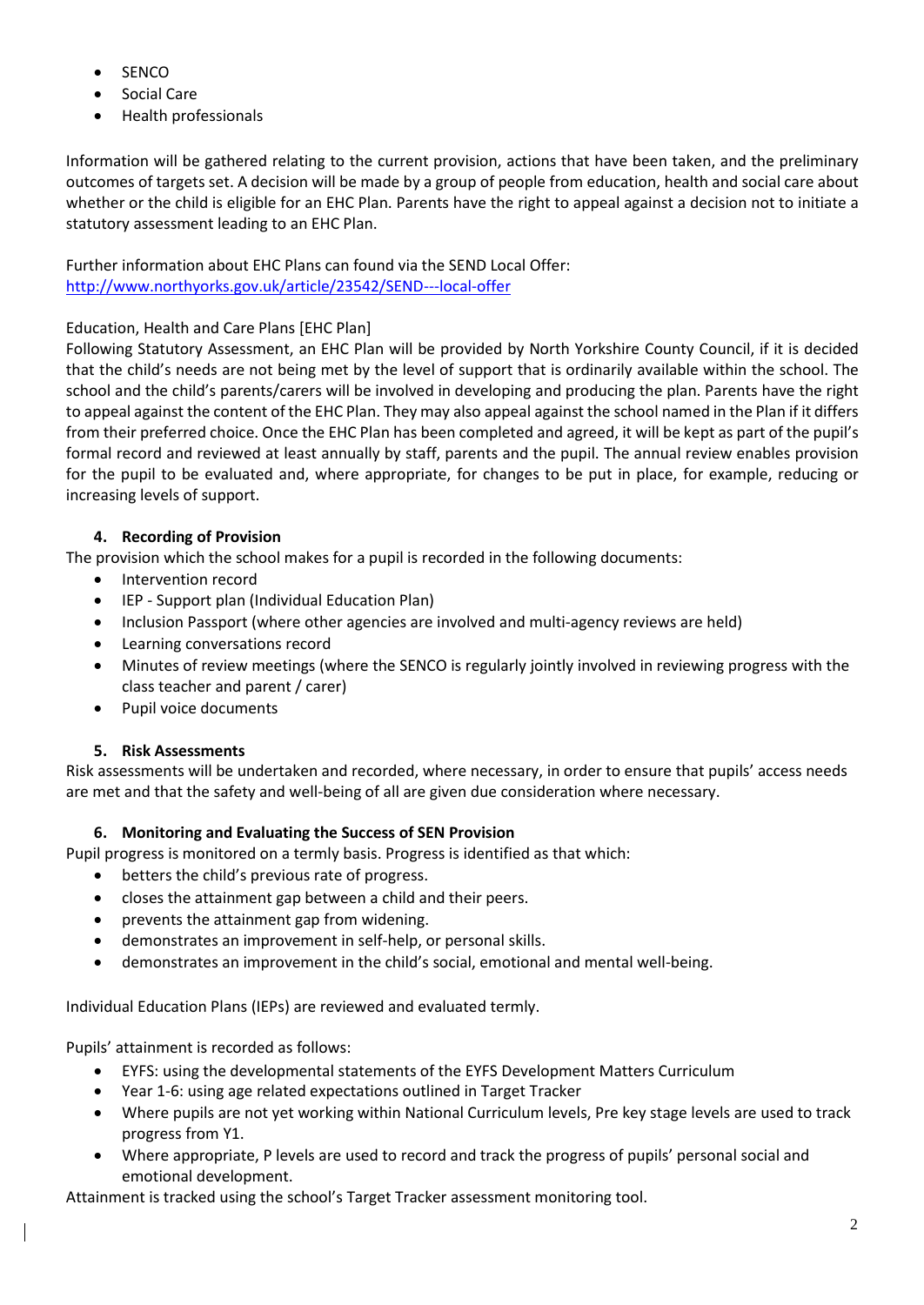- SENCO
- Social Care
- Health professionals

Information will be gathered relating to the current provision, actions that have been taken, and the preliminary outcomes of targets set. A decision will be made by a group of people from education, health and social care about whether or the child is eligible for an EHC Plan. Parents have the right to appeal against a decision not to initiate a statutory assessment leading to an EHC Plan.

Further information about EHC Plans can found via the SEND Local Offer: [http://www.northyorks.gov.uk/article/23542/SEND---local-offer](about:blank)

#### Education, Health and Care Plans [EHC Plan]

Following Statutory Assessment, an EHC Plan will be provided by North Yorkshire County Council, if it is decided that the child's needs are not being met by the level of support that is ordinarily available within the school. The school and the child's parents/carers will be involved in developing and producing the plan. Parents have the right to appeal against the content of the EHC Plan. They may also appeal against the school named in the Plan if it differs from their preferred choice. Once the EHC Plan has been completed and agreed, it will be kept as part of the pupil's formal record and reviewed at least annually by staff, parents and the pupil. The annual review enables provision for the pupil to be evaluated and, where appropriate, for changes to be put in place, for example, reducing or increasing levels of support.

#### **4. Recording of Provision**

The provision which the school makes for a pupil is recorded in the following documents:

- Intervention record
- IEP Support plan (Individual Education Plan)
- Inclusion Passport (where other agencies are involved and multi-agency reviews are held)
- Learning conversations record
- Minutes of review meetings (where the SENCO is regularly jointly involved in reviewing progress with the class teacher and parent / carer)
- Pupil voice documents

#### **5. Risk Assessments**

Risk assessments will be undertaken and recorded, where necessary, in order to ensure that pupils' access needs are met and that the safety and well-being of all are given due consideration where necessary.

#### **6. Monitoring and Evaluating the Success of SEN Provision**

Pupil progress is monitored on a termly basis. Progress is identified as that which:

- betters the child's previous rate of progress.
- closes the attainment gap between a child and their peers.
- prevents the attainment gap from widening.
- demonstrates an improvement in self-help, or personal skills.
- demonstrates an improvement in the child's social, emotional and mental well-being.

Individual Education Plans (IEPs) are reviewed and evaluated termly.

Pupils' attainment is recorded as follows:

- EYFS: using the developmental statements of the EYFS Development Matters Curriculum
- Year 1-6: using age related expectations outlined in Target Tracker
- Where pupils are not yet working within National Curriculum levels, Pre key stage levels are used to track progress from Y1.
- Where appropriate, P levels are used to record and track the progress of pupils' personal social and emotional development.

Attainment is tracked using the school's Target Tracker assessment monitoring tool.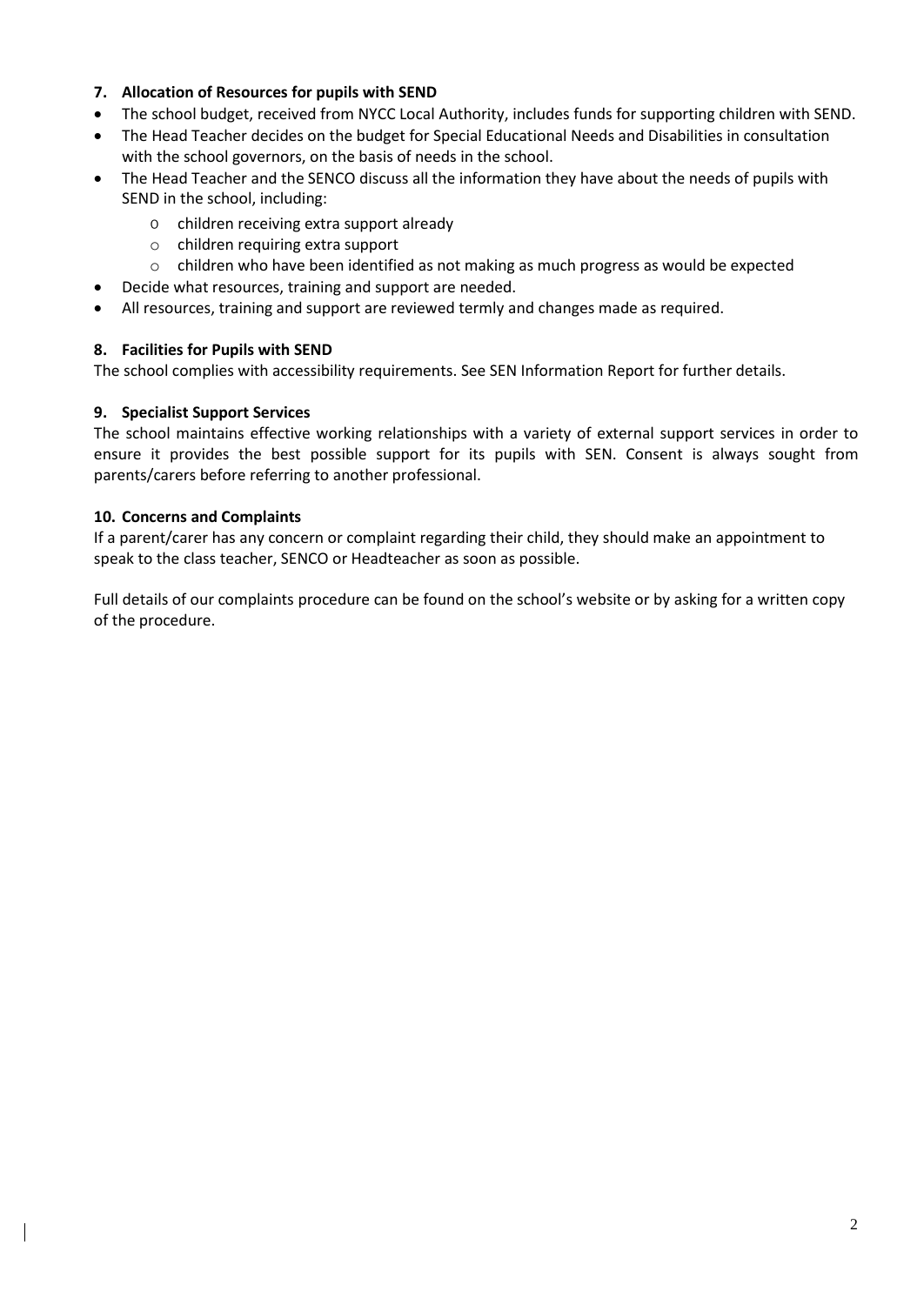#### **7. Allocation of Resources for pupils with SEND**

- The school budget, received from NYCC Local Authority, includes funds for supporting children with SEND.
- The Head Teacher decides on the budget for Special Educational Needs and Disabilities in consultation with the school governors, on the basis of needs in the school.
- The Head Teacher and the SENCO discuss all the information they have about the needs of pupils with SEND in the school, including:
	- o children receiving extra support already
	- o children requiring extra support
	- $\circ$  children who have been identified as not making as much progress as would be expected
	- Decide what resources, training and support are needed.
- All resources, training and support are reviewed termly and changes made as required.

#### **8. Facilities for Pupils with SEND**

The school complies with accessibility requirements. See SEN Information Report for further details.

#### **9. Specialist Support Services**

The school maintains effective working relationships with a variety of external support services in order to ensure it provides the best possible support for its pupils with SEN. Consent is always sought from parents/carers before referring to another professional.

#### **10. Concerns and Complaints**

If a parent/carer has any concern or complaint regarding their child, they should make an appointment to speak to the class teacher, SENCO or Headteacher as soon as possible.

Full details of our complaints procedure can be found on the school's website or by asking for a written copy of the procedure.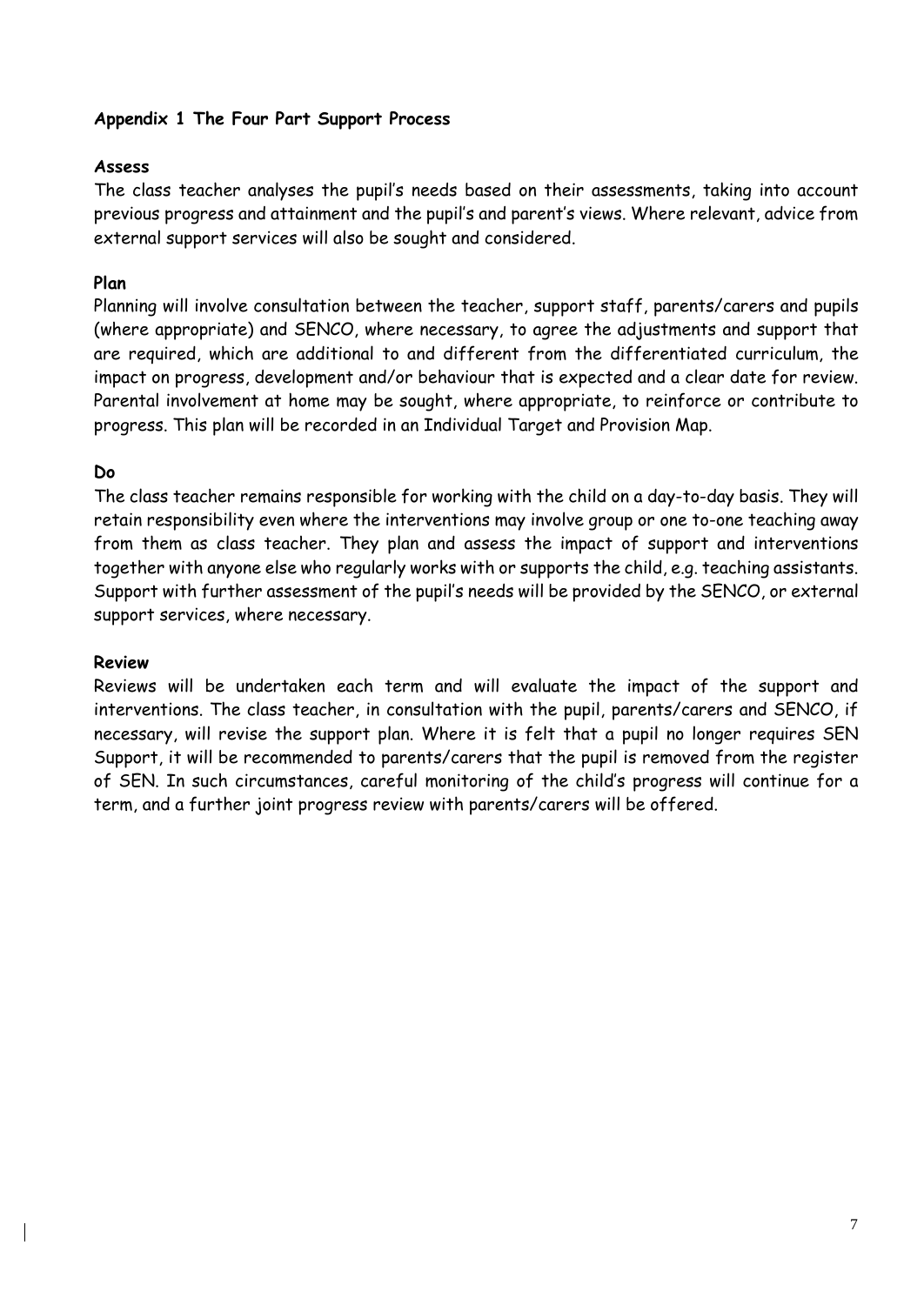#### **Appendix 1 The Four Part Support Process**

#### **Assess**

The class teacher analyses the pupil's needs based on their assessments, taking into account previous progress and attainment and the pupil's and parent's views. Where relevant, advice from external support services will also be sought and considered.

#### **Plan**

Planning will involve consultation between the teacher, support staff, parents/carers and pupils (where appropriate) and SENCO, where necessary, to agree the adjustments and support that are required, which are additional to and different from the differentiated curriculum, the impact on progress, development and/or behaviour that is expected and a clear date for review. Parental involvement at home may be sought, where appropriate, to reinforce or contribute to progress. This plan will be recorded in an Individual Target and Provision Map.

#### **Do**

The class teacher remains responsible for working with the child on a day-to-day basis. They will retain responsibility even where the interventions may involve group or one to-one teaching away from them as class teacher. They plan and assess the impact of support and interventions together with anyone else who regularly works with or supports the child, e.g. teaching assistants. Support with further assessment of the pupil's needs will be provided by the SENCO, or external support services, where necessary.

#### **Review**

Reviews will be undertaken each term and will evaluate the impact of the support and interventions. The class teacher, in consultation with the pupil, parents/carers and SENCO, if necessary, will revise the support plan. Where it is felt that a pupil no longer requires SEN Support, it will be recommended to parents/carers that the pupil is removed from the register of SEN. In such circumstances, careful monitoring of the child's progress will continue for a term, and a further joint progress review with parents/carers will be offered.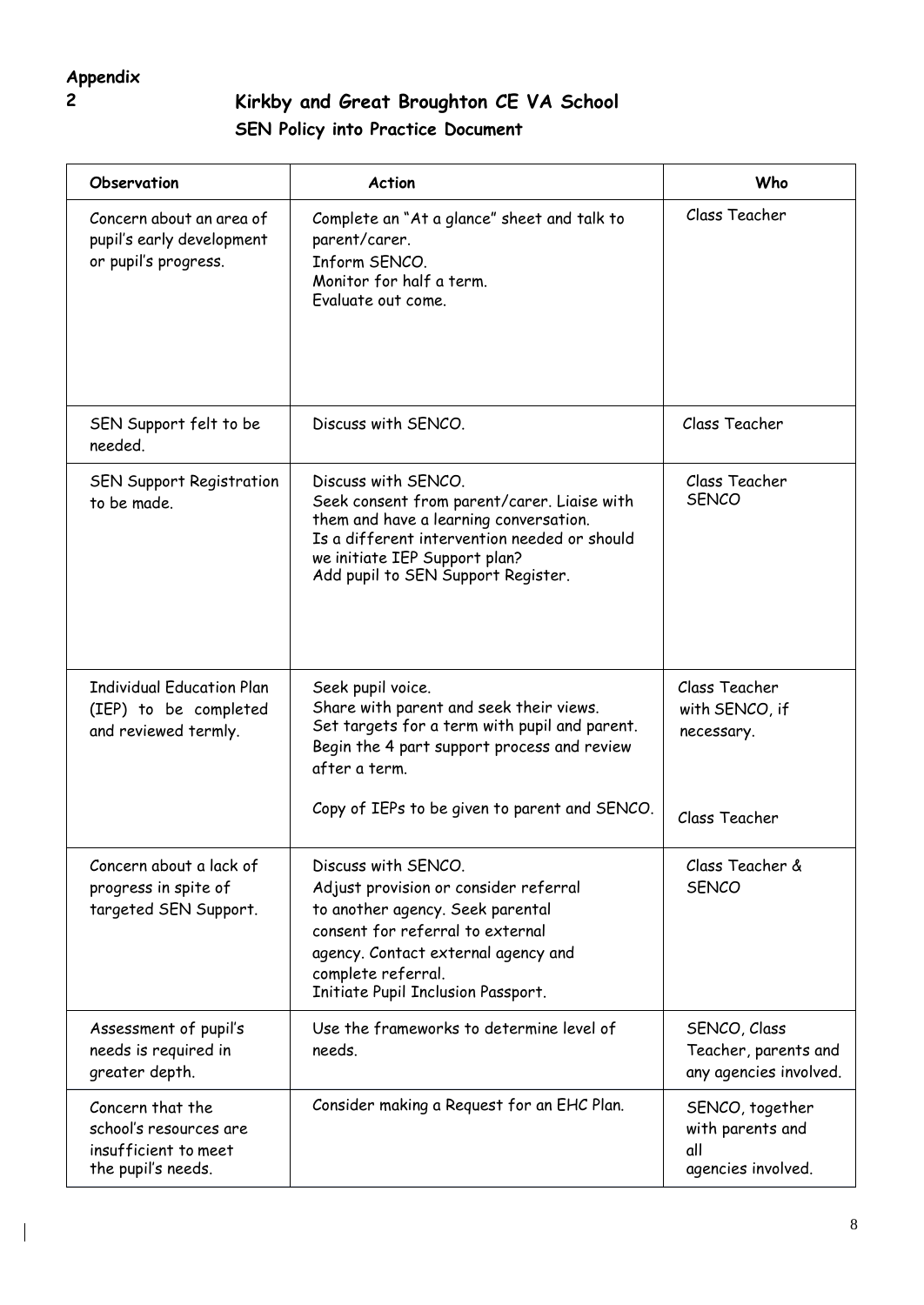## **Appendix**

 $\overline{\phantom{a}}$ 

### **2 Kirkby and Great Broughton CE VA School SEN Policy into Practice Document**

| Observation                                                                              | <b>Action</b>                                                                                                                                                                                                                           | Who                                                              |
|------------------------------------------------------------------------------------------|-----------------------------------------------------------------------------------------------------------------------------------------------------------------------------------------------------------------------------------------|------------------------------------------------------------------|
| Concern about an area of<br>pupil's early development<br>or pupil's progress.            | Complete an "At a glance" sheet and talk to<br>parent/carer.<br>Inform SENCO.<br>Monitor for half a term.<br>Evaluate out come.                                                                                                         | Class Teacher                                                    |
| SEN Support felt to be<br>needed.                                                        | Discuss with SENCO.                                                                                                                                                                                                                     | Class Teacher                                                    |
| SEN Support Registration<br>to be made.                                                  | Discuss with SENCO.<br>Seek consent from parent/carer. Liaise with<br>them and have a learning conversation.<br>Is a different intervention needed or should<br>we initiate IEP Support plan?<br>Add pupil to SEN Support Register.     | Class Teacher<br><b>SENCO</b>                                    |
| <b>Individual Education Plan</b><br>(IEP) to be completed<br>and reviewed termly.        | Seek pupil voice.<br>Share with parent and seek their views.<br>Set targets for a term with pupil and parent.<br>Begin the 4 part support process and review<br>after a term.<br>Copy of IEPs to be given to parent and SENCO.          | Class Teacher<br>with SENCO, if<br>necessary.<br>Class Teacher   |
| Concern about a lack of<br>progress in spite of<br>targeted SEN Support.                 | Discuss with SENCO.<br>Adjust provision or consider referral<br>to another agency. Seek parental<br>consent for referral to external<br>agency. Contact external agency and<br>complete referral.<br>Initiate Pupil Inclusion Passport. | Class Teacher &<br><b>SENCO</b>                                  |
| Assessment of pupil's<br>needs is required in<br>greater depth.                          | Use the frameworks to determine level of<br>needs.                                                                                                                                                                                      | SENCO, Class<br>Teacher, parents and<br>any agencies involved.   |
| Concern that the<br>school's resources are<br>insufficient to meet<br>the pupil's needs. | Consider making a Request for an EHC Plan.                                                                                                                                                                                              | SENCO, together<br>with parents and<br>all<br>agencies involved. |